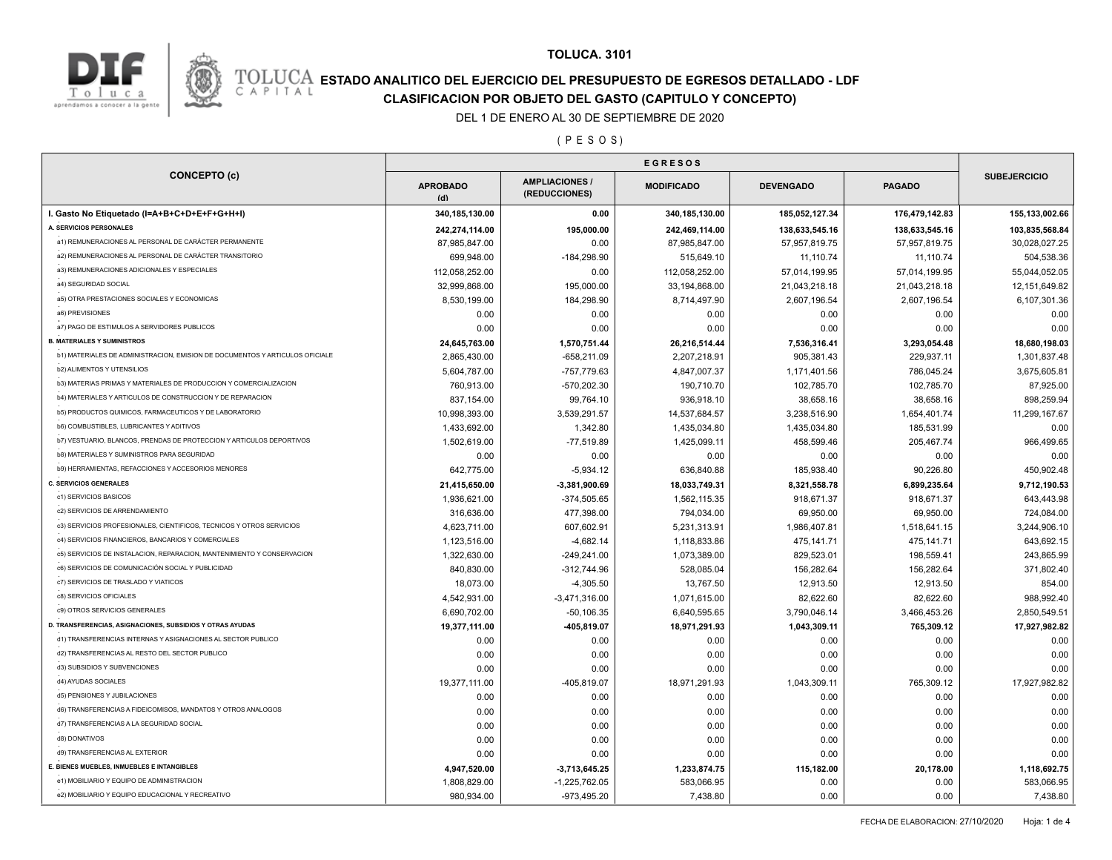



# **ESTADO ANALITICO DEL EJERCICIO DEL PRESUPUESTO DE EGRESOS DETALLADO - LDF**<br>CAPITAL CIASIFICACION POR OBJETO DEL GASTO (CAPITULO Y CONCEPTO) **CLASIFICACION POR OBJETO DEL GASTO (CAPITULO Y CONCEPTO)**

#### DEL 1 DE ENERO AL 30 DE SEPTIEMBRE DE 2020

( P E S O S )

| <b>CONCEPTO (c)</b>                                                          |                        |                                        |                   |                  |                |                     |
|------------------------------------------------------------------------------|------------------------|----------------------------------------|-------------------|------------------|----------------|---------------------|
|                                                                              | <b>APROBADO</b><br>(d) | <b>AMPLIACIONES /</b><br>(REDUCCIONES) | <b>MODIFICADO</b> | <b>DEVENGADO</b> | <b>PAGADO</b>  | <b>SUBEJERCICIO</b> |
| I. Gasto No Etiquetado (I=A+B+C+D+E+F+G+H+I)                                 | 340,185,130.00         | 0.00                                   | 340,185,130.00    | 185,052,127.34   | 176,479,142.83 | 155,133,002.66      |
| A. SERVICIOS PERSONALES                                                      | 242,274,114.00         | 195,000.00                             | 242,469,114.00    | 138,633,545.16   | 138,633,545.16 | 103,835,568.84      |
| a1) REMUNERACIONES AL PERSONAL DE CARÁCTER PERMANENTE                        | 87,985,847.00          | 0.00                                   | 87,985,847.00     | 57,957,819.75    | 57,957,819.75  | 30,028,027.25       |
| a2) REMUNERACIONES AL PERSONAL DE CARÁCTER TRANSITORIO                       | 699,948.00             | $-184,298.90$                          | 515,649.10        | 11,110.74        | 11,110.74      | 504,538.36          |
| a3) REMUNERACIONES ADICIONALES Y ESPECIALES                                  | 112,058,252.00         | 0.00                                   | 112,058,252.00    | 57,014,199.95    | 57,014,199.95  | 55,044,052.05       |
| a4) SEGURIDAD SOCIAL                                                         | 32,999,868.00          | 195,000.00                             | 33,194,868.00     | 21,043,218.18    | 21,043,218.18  | 12, 151, 649.82     |
| a5) OTRA PRESTACIONES SOCIALES Y ECONOMICAS                                  | 8,530,199.00           | 184,298.90                             | 8,714,497.90      | 2,607,196.54     | 2,607,196.54   | 6,107,301.36        |
| a6) PREVISIONES                                                              | 0.00                   | 0.00                                   | 0.00              | 0.00             | 0.00           | 0.00                |
| a7) PAGO DE ESTIMULOS A SERVIDORES PUBLICOS                                  | 0.00                   | 0.00                                   | 0.00              | 0.00             | 0.00           | 0.00                |
| <b>B. MATERIALES Y SUMINISTROS</b>                                           | 24,645,763.00          | 1,570,751.44                           | 26,216,514.44     | 7,536,316.41     | 3,293,054.48   | 18,680,198.03       |
| b1) MATERIALES DE ADMINISTRACION, EMISION DE DOCUMENTOS Y ARTICULOS OFICIALE | 2,865,430.00           | $-658,211.09$                          | 2,207,218.91      | 905,381.43       | 229,937.11     | 1,301,837.48        |
| <b>b2) ALIMENTOS Y UTENSILIOS</b>                                            | 5,604,787.00           | -757,779.63                            | 4,847,007.37      | 1,171,401.56     | 786,045.24     | 3,675,605.81        |
| b3) MATERIAS PRIMAS Y MATERIALES DE PRODUCCION Y COMERCIALIZACION            | 760,913.00             | -570,202.30                            | 190,710.70        | 102,785.70       | 102,785.70     | 87,925.00           |
| b4) MATERIALES Y ARTICULOS DE CONSTRUCCION Y DE REPARACION                   | 837,154.00             | 99,764.10                              | 936,918.10        | 38,658.16        | 38,658.16      | 898,259.94          |
| b5) PRODUCTOS QUIMICOS, FARMACEUTICOS Y DE LABORATORIO                       | 10,998,393.00          | 3,539,291.57                           | 14,537,684.57     | 3,238,516.90     | 1,654,401.74   | 11,299,167.67       |
| <b>b6) COMBUSTIBLES, LUBRICANTES Y ADITIVOS</b>                              | 1,433,692.00           | 1,342.80                               | 1,435,034.80      | 1,435,034.80     | 185,531.99     | 0.00                |
| b7) VESTUARIO, BLANCOS, PRENDAS DE PROTECCION Y ARTICULOS DEPORTIVOS         | 1,502,619.00           | $-77,519.89$                           | 1,425,099.11      | 458,599.46       | 205,467.74     | 966,499.65          |
| b8) MATERIALES Y SUMINISTROS PARA SEGURIDAD                                  | 0.00                   | 0.00                                   | 0.00              | 0.00             | 0.00           | 0.00                |
| b9) HERRAMIENTAS, REFACCIONES Y ACCESORIOS MENORES                           | 642,775.00             | $-5,934.12$                            | 636,840.88        | 185,938.40       | 90,226.80      | 450,902.48          |
| <b>C. SERVICIOS GENERALES</b>                                                | 21,415,650.00          | $-3,381,900.69$                        | 18,033,749.31     | 8,321,558.78     | 6,899,235.64   | 9,712,190.53        |
| c1) SERVICIOS BASICOS                                                        | 1,936,621.00           | $-374,505.65$                          | 1,562,115.35      | 918,671.37       | 918,671.37     | 643,443.98          |
| c2) SERVICIOS DE ARRENDAMIENTO                                               | 316,636.00             | 477,398.00                             | 794,034.00        | 69,950.00        | 69,950.00      | 724,084.00          |
| c3) SERVICIOS PROFESIONALES, CIENTIFICOS, TECNICOS Y OTROS SERVICIOS         | 4,623,711.00           | 607,602.91                             | 5,231,313.91      | 1,986,407.81     | 1,518,641.15   | 3,244,906.10        |
| c4) SERVICIOS FINANCIEROS, BANCARIOS Y COMERCIALES                           | 1,123,516.00           | $-4,682.14$                            | 1,118,833.86      | 475,141.71       | 475,141.71     | 643,692.15          |
| c5) SERVICIOS DE INSTALACION, REPARACION, MANTENIMIENTO Y CONSERVACION       | 1,322,630.00           | $-249,241.00$                          | 1,073,389.00      | 829,523.01       | 198,559.41     | 243,865.99          |
| c6) SERVICIOS DE COMUNICACIÓN SOCIAL Y PUBLICIDAD                            | 840,830.00             | $-312,744.96$                          | 528,085.04        | 156,282.64       | 156,282.64     | 371,802.40          |
| c7) SERVICIOS DE TRASLADO Y VIATICOS                                         | 18,073.00              | $-4,305.50$                            | 13,767.50         | 12,913.50        | 12,913.50      | 854.00              |
| c8) SERVICIOS OFICIALES                                                      | 4,542,931.00           |                                        | 1,071,615.00      | 82,622.60        |                | 988,992.40          |
| c9) OTROS SERVICIOS GENERALES                                                |                        | $-3,471,316.00$                        |                   | 3,790,046.14     | 82,622.60      |                     |
| D. TRANSFERENCIAS, ASIGNACIONES, SUBSIDIOS Y OTRAS AYUDAS                    | 6,690,702.00           | $-50, 106.35$                          | 6,640,595.65      |                  | 3,466,453.26   | 2,850,549.51        |
| d1) TRANSFERENCIAS INTERNAS Y ASIGNACIONES AL SECTOR PUBLICO                 | 19,377,111.00          | -405,819.07                            | 18,971,291.93     | 1,043,309.11     | 765,309.12     | 17,927,982.82       |
| d2) TRANSFERENCIAS AL RESTO DEL SECTOR PUBLICO                               | 0.00                   | 0.00                                   | 0.00              | 0.00             | 0.00           | 0.00                |
| d3) SUBSIDIOS Y SUBVENCIONES                                                 | 0.00                   | 0.00                                   | 0.00              | 0.00             | 0.00           | 0.00                |
| d4) AYUDAS SOCIALES                                                          | 0.00                   | 0.00                                   | 0.00              | 0.00             | 0.00           | 0.00                |
| d5) PENSIONES Y JUBILACIONES                                                 | 19,377,111.00          | -405,819.07                            | 18,971,291.93     | 1,043,309.11     | 765,309.12     | 17,927,982.82       |
| d6) TRANSFERENCIAS A FIDEICOMISOS, MANDATOS Y OTROS ANALOGOS                 | 0.00                   | 0.00                                   | 0.00              | 0.00             | 0.00           | 0.00                |
| d7) TRANSFERENCIAS A LA SEGURIDAD SOCIAL                                     | 0.00                   | 0.00                                   | 0.00              | 0.00             | 0.00           | 0.00                |
|                                                                              | 0.00                   | 0.00                                   | 0.00              | 0.00             | 0.00           | 0.00                |
| d8) DONATIVOS<br>d9) TRANSFERENCIAS AL EXTERIOR                              | 0.00                   | 0.00                                   | 0.00              | 0.00             | 0.00           | 0.00                |
|                                                                              | 0.00                   | 0.00                                   | 0.00              | 0.00             | 0.00           | 0.00                |
| E. BIENES MUEBLES, INMUEBLES E INTANGIBLES                                   | 4,947,520.00           | $-3,713,645.25$                        | 1,233,874.75      | 115,182.00       | 20,178.00      | 1,118,692.75        |
| e1) MOBILIARIO Y EQUIPO DE ADMINISTRACION                                    | 1,808,829.00           | $-1,225,762.05$                        | 583,066.95        | 0.00             | 0.00           | 583,066.95          |
| e2) MOBILIARIO Y EQUIPO EDUCACIONAL Y RECREATIVO                             | 980,934.00             | -973,495.20                            | 7,438.80          | 0.00             | 0.00           | 7,438.80            |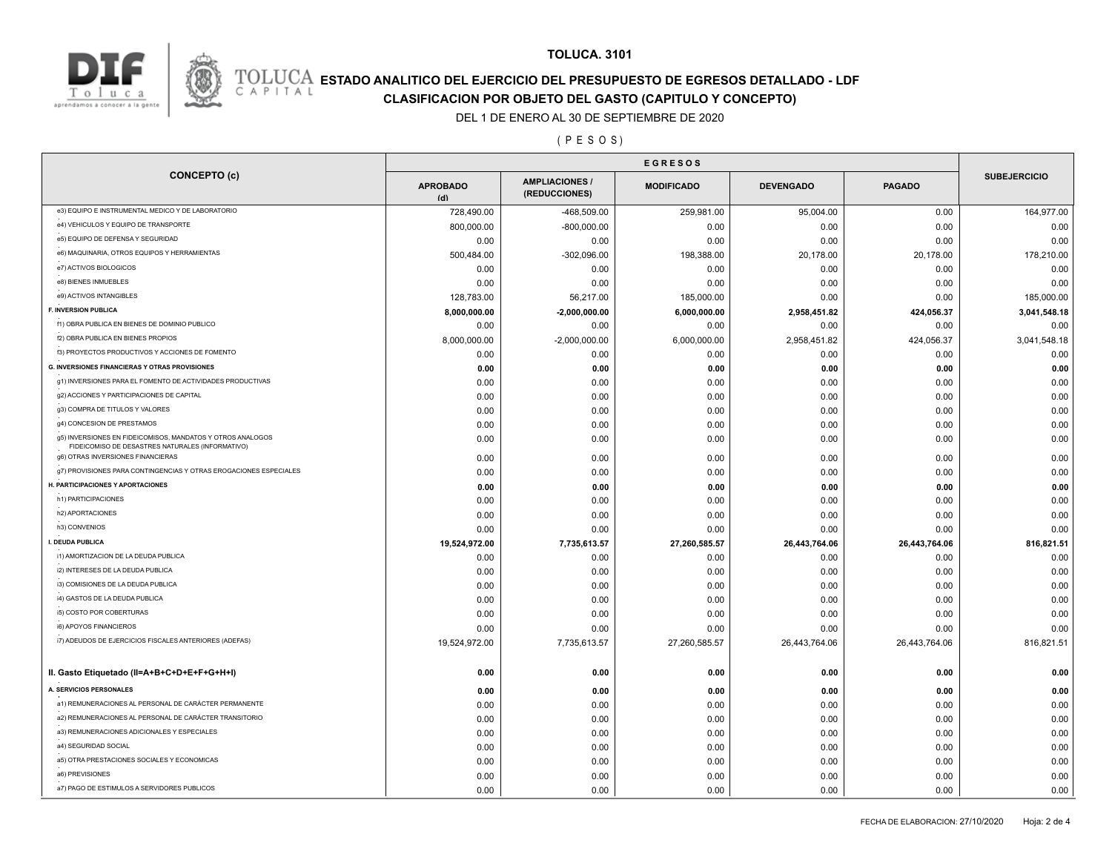

### **TOLUCA. 3101**

# **ESTADO ANALITICO DEL EJERCICIO DEL PRESUPUESTO DE EGRESOS DETALLADO - LDF**<br>CAPITAL CUASIFICACION POP OP IETO DEL CASTO (CADITIU O Y CONSTITO) **CLASIFICACION POR OBJETO DEL GASTO (CAPITULO Y CONCEPTO)**

#### DEL 1 DE ENERO AL 30 DE SEPTIEMBRE DE 2020

### ( P E S O S )

|                                                                                                                | <b>EGRESOS</b>         |                                        |                   |                  |               |                     |
|----------------------------------------------------------------------------------------------------------------|------------------------|----------------------------------------|-------------------|------------------|---------------|---------------------|
| <b>CONCEPTO (c)</b>                                                                                            | <b>APROBADO</b><br>(d) | <b>AMPLIACIONES /</b><br>(REDUCCIONES) | <b>MODIFICADO</b> | <b>DEVENGADO</b> | <b>PAGADO</b> | <b>SUBEJERCICIO</b> |
| e3) EQUIPO E INSTRUMENTAL MEDICO Y DE LABORATORIO                                                              | 728,490.00             | -468,509.00                            | 259,981.00        | 95,004.00        | 0.00          | 164,977.00          |
| e4) VEHICULOS Y EQUIPO DE TRANSPORTE                                                                           | 800,000.00             | $-800,000.00$                          | 0.00              | 0.00             | 0.00          | 0.00                |
| e5) EQUIPO DE DEFENSA Y SEGURIDAD                                                                              | 0.00                   | 0.00                                   | 0.00              | 0.00             | 0.00          | 0.00                |
| e6) MAQUINARIA, OTROS EQUIPOS Y HERRAMIENTAS                                                                   | 500,484.00             | $-302,096.00$                          | 198,388.00        | 20,178.00        | 20,178.00     | 178,210.00          |
| e7) ACTIVOS BIOLOGICOS                                                                                         | 0.00                   | 0.00                                   | 0.00              | 0.00             | 0.00          | 0.00                |
| e8) BIENES INMUEBLES                                                                                           | 0.00                   | 0.00                                   | 0.00              | 0.00             | 0.00          | 0.00                |
| e9) ACTIVOS INTANGIBLES                                                                                        | 128,783.00             | 56,217.00                              | 185,000.00        | 0.00             | 0.00          | 185,000.00          |
| F. INVERSION PUBLICA                                                                                           | 8,000,000.00           | $-2,000,000.00$                        | 6,000,000.00      | 2,958,451.82     | 424,056.37    | 3,041,548.18        |
| f1) OBRA PUBLICA EN BIENES DE DOMINIO PUBLICO                                                                  | 0.00                   | 0.00                                   | 0.00              | 0.00             | 0.00          | 0.00                |
| f2) OBRA PUBLICA EN BIENES PROPIOS                                                                             | 8,000,000.00           | $-2,000,000.00$                        | 6,000,000.00      | 2,958,451.82     | 424,056.37    | 3,041,548.18        |
| f3) PROYECTOS PRODUCTIVOS Y ACCIONES DE FOMENTO                                                                | 0.00                   | 0.00                                   | 0.00              | 0.00             | 0.00          | 0.00                |
| <b>G. INVERSIONES FINANCIERAS Y OTRAS PROVISIONES</b>                                                          | 0.00                   | 0.00                                   | 0.00              | 0.00             | 0.00          | 0.00                |
| g1) INVERSIONES PARA EL FOMENTO DE ACTIVIDADES PRODUCTIVAS                                                     | 0.00                   | 0.00                                   | 0.00              | 0.00             | 0.00          | 0.00                |
| g2) ACCIONES Y PARTICIPACIONES DE CAPITAL                                                                      | 0.00                   | 0.00                                   | 0.00              | 0.00             | 0.00          | 0.00                |
| g3) COMPRA DE TITULOS Y VALORES                                                                                | 0.00                   | 0.00                                   | 0.00              | 0.00             | 0.00          | 0.00                |
| g4) CONCESION DE PRESTAMOS                                                                                     | 0.00                   | 0.00                                   | 0.00              | 0.00             | 0.00          | 0.00                |
| g5) INVERSIONES EN FIDEICOMISOS, MANDATOS Y OTROS ANALOGOS<br>FIDEICOMISO DE DESASTRES NATURALES (INFORMATIVO) | 0.00                   | 0.00                                   | 0.00              | 0.00             | 0.00          | 0.00                |
| g6) OTRAS INVERSIONES FINANCIERAS                                                                              | 0.00                   | 0.00                                   | 0.00              | 0.00             | 0.00          | 0.00                |
| g7) PROVISIONES PARA CONTINGENCIAS Y OTRAS EROGACIONES ESPECIALES                                              | 0.00                   | 0.00                                   | 0.00              | 0.00             | 0.00          | 0.00                |
| H. PARTICIPACIONES Y APORTACIONES                                                                              | 0.00                   | 0.00                                   | 0.00              | 0.00             | 0.00          | 0.00                |
| h1) PARTICIPACIONES                                                                                            | 0.00                   | 0.00                                   | 0.00              | 0.00             | 0.00          | 0.00                |
| h2) APORTACIONES                                                                                               | 0.00                   | 0.00                                   | 0.00              | 0.00             | 0.00          | 0.00                |
| h3) CONVENIOS                                                                                                  | 0.00                   | 0.00                                   | 0.00              | 0.00             | 0.00          | 0.00                |
| I. DEUDA PUBLICA                                                                                               | 19,524,972.00          | 7,735,613.57                           | 27,260,585.57     | 26,443,764.06    | 26,443,764.06 | 816,821.51          |
| i1) AMORTIZACION DE LA DEUDA PUBLICA                                                                           | 0.00                   | 0.00                                   | 0.00              | 0.00             | 0.00          | 0.00                |
| i2) INTERESES DE LA DEUDA PUBLICA                                                                              | 0.00                   | 0.00                                   | 0.00              | 0.00             | 0.00          | 0.00                |
| i3) COMISIONES DE LA DEUDA PUBLICA                                                                             | 0.00                   | 0.00                                   | 0.00              | 0.00             | 0.00          | 0.00                |
| i4) GASTOS DE LA DEUDA PUBLICA                                                                                 | 0.00                   | 0.00                                   | 0.00              | 0.00             | 0.00          | 0.00                |
| i5) COSTO POR COBERTURAS                                                                                       | 0.00                   | 0.00                                   | 0.00              | 0.00             | 0.00          | 0.00                |
| i6) APOYOS FINANCIEROS                                                                                         | 0.00                   | 0.00                                   | 0.00              | 0.00             | 0.00          | 0.00                |
| i7) ADEUDOS DE EJERCICIOS FISCALES ANTERIORES (ADEFAS)                                                         | 19,524,972.00          | 7,735,613.57                           | 27,260,585.57     | 26,443,764.06    | 26,443,764.06 | 816,821.51          |
|                                                                                                                |                        |                                        |                   |                  |               |                     |
| II. Gasto Etiquetado (II=A+B+C+D+E+F+G+H+I)                                                                    | 0.00                   | 0.00                                   | 0.00              | 0.00             | 0.00          | 0.00                |
| A. SERVICIOS PERSONALES                                                                                        | 0.00                   | 0.00                                   | 0.00              | 0.00             | 0.00          | 0.00                |
| a1) REMUNERACIONES AL PERSONAL DE CARÁCTER PERMANENTE                                                          | 0.00                   | 0.00                                   | 0.00              | 0.00             | 0.00          | 0.00                |
| a2) REMUNERACIONES AL PERSONAL DE CARÁCTER TRANSITORIO                                                         | 0.00                   | 0.00                                   | 0.00              | 0.00             | 0.00          | 0.00                |
| a3) REMUNERACIONES ADICIONALES Y ESPECIALES                                                                    | 0.00                   | 0.00                                   | 0.00              | 0.00             | 0.00          | 0.00                |
| a4) SEGURIDAD SOCIAL                                                                                           | 0.00                   | 0.00                                   | 0.00              | 0.00             | 0.00          | 0.00                |
| a5) OTRA PRESTACIONES SOCIALES Y ECONOMICAS                                                                    | 0.00                   | 0.00                                   | 0.00              | 0.00             | 0.00          | 0.00                |
| a6) PREVISIONES                                                                                                | 0.00                   | 0.00                                   | 0.00              | 0.00             | 0.00          | 0.00                |
| a7) PAGO DE ESTIMULOS A SERVIDORES PUBLICOS                                                                    | 0.00                   | 0.00                                   | 0.00              | 0.00             | 0.00          | 0.00                |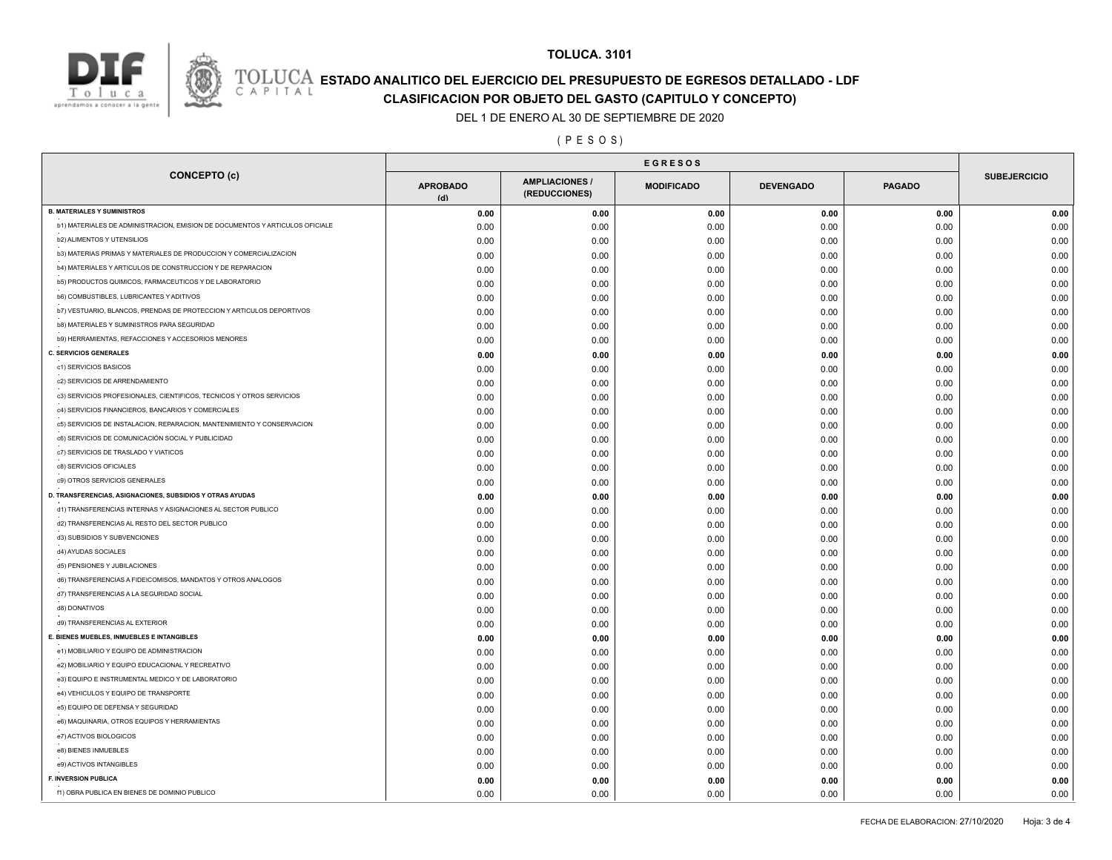



### **TOLUCA. 3101**

# **ESTADO ANALITICO DEL EJERCICIO DEL PRESUPUESTO DE EGRESOS DETALLADO - LDF**<br>CAPITAL CUASIFICACION POP OR IETO DEL GASTO (CAPITULO Y CONCEPTO) **CLASIFICACION POR OBJETO DEL GASTO (CAPITULO Y CONCEPTO)**

### DEL 1 DE ENERO AL 30 DE SEPTIEMBRE DE 2020

### ( P E S O S )

| <b>CONCEPTO (c)</b>                                                          | <b>APROBADO</b><br>(d) | <b>AMPLIACIONES/</b><br>(REDUCCIONES) | <b>MODIFICADO</b> | <b>DEVENGADO</b> | <b>PAGADO</b> | <b>SUBEJERCICIO</b> |
|------------------------------------------------------------------------------|------------------------|---------------------------------------|-------------------|------------------|---------------|---------------------|
| <b>B. MATERIALES Y SUMINISTROS</b>                                           | 0.00                   | 0.00                                  | 0.00              | 0.00             | 0.00          | 0.00                |
| b1) MATERIALES DE ADMINISTRACION, EMISION DE DOCUMENTOS Y ARTICULOS OFICIALE | 0.00                   | 0.00                                  | 0.00              | 0.00             | 0.00          | 0.00                |
| <b>b2) ALIMENTOS Y UTENSILIOS</b>                                            | 0.00                   | 0.00                                  | 0.00              | 0.00             | 0.00          | 0.00                |
| b3) MATERIAS PRIMAS Y MATERIALES DE PRODUCCION Y COMERCIALIZACION            | 0.00                   | 0.00                                  | 0.00              | 0.00             | 0.00          | 0.00                |
| b4) MATERIALES Y ARTICULOS DE CONSTRUCCION Y DE REPARACION                   | 0.00                   | 0.00                                  | 0.00              | 0.00             | 0.00          | 0.00                |
| b5) PRODUCTOS QUIMICOS, FARMACEUTICOS Y DE LABORATORIO                       | 0.00                   | 0.00                                  | 0.00              | 0.00             | 0.00          | 0.00                |
| <b>b6) COMBUSTIBLES, LUBRICANTES Y ADITIVOS</b>                              | 0.00                   | 0.00                                  | 0.00              | 0.00             | 0.00          | 0.00                |
| b7) VESTUARIO, BLANCOS, PRENDAS DE PROTECCION Y ARTICULOS DEPORTIVOS         | 0.00                   | 0.00                                  | 0.00              | 0.00             | 0.00          | 0.00                |
| <b>b8) MATERIALES Y SUMINISTROS PARA SEGURIDAD</b>                           | 0.00                   | 0.00                                  | 0.00              | 0.00             | 0.00          | 0.00                |
| b9) HERRAMIENTAS, REFACCIONES Y ACCESORIOS MENORES                           | 0.00                   | 0.00                                  | 0.00              | 0.00             | 0.00          | 0.00                |
| <b>C. SERVICIOS GENERALES</b>                                                | 0.00                   | 0.00                                  | 0.00              | 0.00             | 0.00          | 0.00                |
| c1) SERVICIOS BASICOS                                                        | 0.00                   | 0.00                                  | 0.00              | 0.00             | 0.00          | 0.00                |
| c2) SERVICIOS DE ARRENDAMIENTO                                               | 0.00                   | 0.00                                  | 0.00              | 0.00             | 0.00          | 0.00                |
| c3) SERVICIOS PROFESIONALES, CIENTIFICOS, TECNICOS Y OTROS SERVICIOS         | 0.00                   | 0.00                                  | 0.00              | 0.00             | 0.00          | 0.00                |
| c4) SERVICIOS FINANCIEROS, BANCARIOS Y COMERCIALES                           | 0.00                   | 0.00                                  | 0.00              | 0.00             | 0.00          | 0.00                |
| c5) SERVICIOS DE INSTALACION, REPARACION, MANTENIMIENTO Y CONSERVACION       | 0.00                   | 0.00                                  | 0.00              | 0.00             | 0.00          | 0.00                |
| c6) SERVICIOS DE COMUNICACIÓN SOCIAL Y PUBLICIDAD                            | 0.00                   | 0.00                                  | 0.00              | 0.00             | 0.00          | 0.00                |
| c7) SERVICIOS DE TRASLADO Y VIATICOS                                         | 0.00                   | 0.00                                  | 0.00              | 0.00             | 0.00          | 0.00                |
| c8) SERVICIOS OFICIALES                                                      | 0.00                   | 0.00                                  | 0.00              | 0.00             | 0.00          | 0.00                |
| c9) OTROS SERVICIOS GENERALES                                                | 0.00                   | 0.00                                  | 0.00              | 0.00             | 0.00          | 0.00                |
| D. TRANSFERENCIAS, ASIGNACIONES, SUBSIDIOS Y OTRAS AYUDAS                    | 0.00                   | 0.00                                  | 0.00              | 0.00             | 0.00          | 0.00                |
| d1) TRANSFERENCIAS INTERNAS Y ASIGNACIONES AL SECTOR PUBLICO                 | 0.00                   | 0.00                                  | 0.00              | 0.00             | 0.00          | 0.00                |
| d2) TRANSFERENCIAS AL RESTO DEL SECTOR PUBLICO                               | 0.00                   | 0.00                                  | 0.00              | 0.00             | 0.00          | 0.00                |
| d3) SUBSIDIOS Y SUBVENCIONES                                                 | 0.00                   | 0.00                                  | 0.00              | 0.00             | 0.00          | 0.00                |
| d4) AYUDAS SOCIALES                                                          | 0.00                   | 0.00                                  | 0.00              | 0.00             | 0.00          | 0.00                |
| d5) PENSIONES Y JUBILACIONES                                                 | 0.00                   | 0.00                                  | 0.00              | 0.00             | 0.00          | 0.00                |
| d6) TRANSFERENCIAS A FIDEICOMISOS, MANDATOS Y OTROS ANALOGOS                 | 0.00                   | 0.00                                  | 0.00              | 0.00             | 0.00          | 0.00                |
| d7) TRANSFERENCIAS A LA SEGURIDAD SOCIAL                                     | 0.00                   | 0.00                                  | 0.00              | 0.00             | 0.00          | 0.00                |
| d8) DONATIVOS                                                                | 0.00                   | 0.00                                  | 0.00              | 0.00             | 0.00          | 0.00                |
| d9) TRANSFERENCIAS AL EXTERIOR                                               | 0.00                   | 0.00                                  | 0.00              | 0.00             | 0.00          | 0.00                |
| E. BIENES MUEBLES, INMUEBLES E INTANGIBLES                                   | 0.00                   | 0.00                                  | 0.00              | 0.00             | 0.00          | 0.00                |
| e1) MOBILIARIO Y EQUIPO DE ADMINISTRACION                                    | 0.00                   | 0.00                                  | 0.00              | 0.00             | 0.00          | 0.00                |
| e2) MOBILIARIO Y EQUIPO EDUCACIONAL Y RECREATIVO                             | 0.00                   | 0.00                                  | 0.00              | 0.00             | 0.00          | 0.00                |
| e3) EQUIPO E INSTRUMENTAL MEDICO Y DE LABORATORIO                            | 0.00                   | 0.00                                  | 0.00              | 0.00             | 0.00          | 0.00                |
| e4) VEHICULOS Y EQUIPO DE TRANSPORTE                                         | 0.00                   | 0.00                                  | 0.00              | 0.00             | 0.00          | 0.00                |
| e5) EQUIPO DE DEFENSA Y SEGURIDAD                                            | 0.00                   | 0.00                                  | 0.00              | 0.00             | 0.00          | 0.00                |
| e6) MAQUINARIA, OTROS EQUIPOS Y HERRAMIENTAS                                 | 0.00                   | 0.00                                  | 0.00              | 0.00             | 0.00          | 0.00                |
| e7) ACTIVOS BIOLOGICOS                                                       | 0.00                   | 0.00                                  | 0.00              | 0.00             | 0.00          | 0.00                |
| e8) BIENES INMUEBLES                                                         |                        |                                       |                   |                  | 0.00          | 0.00                |
| e9) ACTIVOS INTANGIBLES                                                      | 0.00                   | 0.00                                  | 0.00              | 0.00             |               |                     |
| <b>F. INVERSION PUBLICA</b>                                                  | 0.00                   | 0.00                                  | 0.00              | 0.00             | 0.00          | 0.00                |
| f1) OBRA PUBLICA EN BIENES DE DOMINIO PUBLICO                                | 0.00                   | 0.00                                  | 0.00              | 0.00             | 0.00          | 0.00                |
|                                                                              | 0.00                   | 0.00                                  | 0.00              | 0.00             | 0.00          | 0.00                |